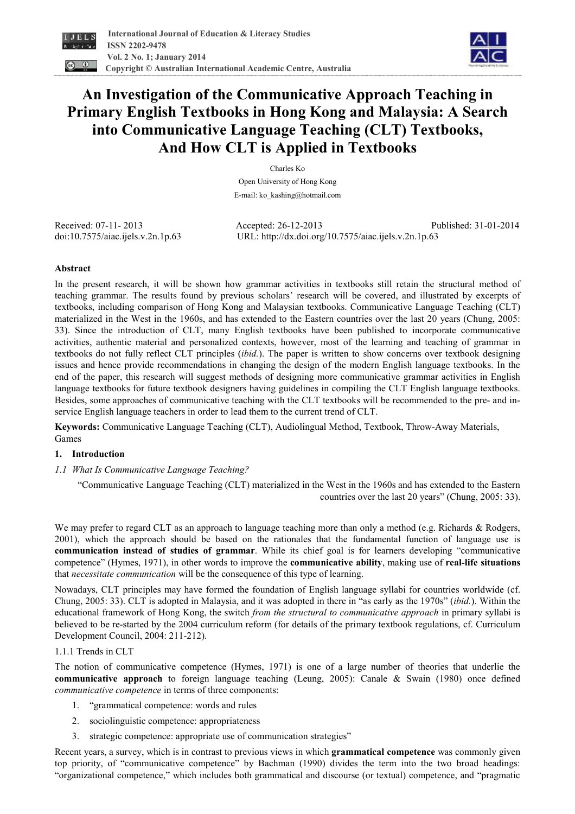



# **An Investigation of the Communicative Approach Teaching in Primary English Textbooks in Hong Kong and Malaysia: A Search into Communicative Language Teaching (CLT) Textbooks, And How CLT is Applied in Textbooks**

Charles Ko Open University of Hong Kong E-mail: ko\_kashing@hotmail.com

Received: 07-11- 2013 Accepted: 26-12-2013 Published: 31-01-2014 doi:10.7575/aiac.ijels.v.2n.1p.63 URL: http://dx.doi.org/10.7575/aiac.ijels.v.2n.1p.63

# **Abstract**

In the present research, it will be shown how grammar activities in textbooks still retain the structural method of teaching grammar. The results found by previous scholars' research will be covered, and illustrated by excerpts of textbooks, including comparison of Hong Kong and Malaysian textbooks. Communicative Language Teaching (CLT) materialized in the West in the 1960s, and has extended to the Eastern countries over the last 20 years (Chung, 2005: 33). Since the introduction of CLT, many English textbooks have been published to incorporate communicative activities, authentic material and personalized contexts, however, most of the learning and teaching of grammar in textbooks do not fully reflect CLT principles (*ibid.*). The paper is written to show concerns over textbook designing issues and hence provide recommendations in changing the design of the modern English language textbooks. In the end of the paper, this research will suggest methods of designing more communicative grammar activities in English language textbooks for future textbook designers having guidelines in compiling the CLT English language textbooks. Besides, some approaches of communicative teaching with the CLT textbooks will be recommended to the pre- and inservice English language teachers in order to lead them to the current trend of CLT.

**Keywords:** Communicative Language Teaching (CLT), Audiolingual Method, Textbook, Throw-Away Materials, Games

# **1. Introduction**

*1.1 What Is Communicative Language Teaching?* 

"Communicative Language Teaching (CLT) materialized in the West in the 1960s and has extended to the Eastern countries over the last 20 years" (Chung, 2005: 33).

We may prefer to regard CLT as an approach to language teaching more than only a method (e.g. Richards & Rodgers, 2001), which the approach should be based on the rationales that the fundamental function of language use is **communication instead of studies of grammar**. While its chief goal is for learners developing "communicative competence" (Hymes, 1971), in other words to improve the **communicative ability**, making use of **real-life situations** that *necessitate communication* will be the consequence of this type of learning.

Nowadays, CLT principles may have formed the foundation of English language syllabi for countries worldwide (cf. Chung, 2005: 33). CLT is adopted in Malaysia, and it was adopted in there in "as early as the 1970s" (*ibid.*). Within the educational framework of Hong Kong, the switch *from the structural to communicative approach* in primary syllabi is believed to be re-started by the 2004 curriculum reform (for details of the primary textbook regulations, cf. Curriculum Development Council, 2004: 211-212).

# 1.1.1 Trends in CLT

The notion of communicative competence (Hymes, 1971) is one of a large number of theories that underlie the **communicative approach** to foreign language teaching (Leung, 2005): Canale & Swain (1980) once defined *communicative competence* in terms of three components:

- 1. "grammatical competence: words and rules
- 2. sociolinguistic competence: appropriateness
- 3. strategic competence: appropriate use of communication strategies"

Recent years, a survey, which is in contrast to previous views in which **grammatical competence** was commonly given top priority, of "communicative competence" by Bachman (1990) divides the term into the two broad headings: "organizational competence," which includes both grammatical and discourse (or textual) competence, and "pragmatic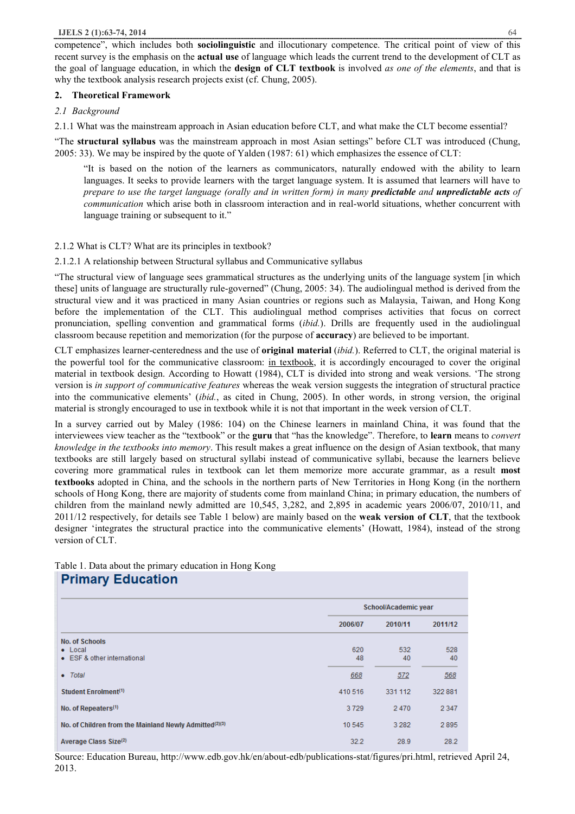competence", which includes both **sociolinguistic** and illocutionary competence. The critical point of view of this recent survey is the emphasis on the **actual use** of language which leads the current trend to the development of CLT as the goal of language education, in which the **design of CLT textbook** is involved *as one of the elements*, and that is why the textbook analysis research projects exist (cf. Chung, 2005).

## **2. Theoretical Framework**

## *2.1 Background*

2.1.1 What was the mainstream approach in Asian education before CLT, and what make the CLT become essential?

"The **structural syllabus** was the mainstream approach in most Asian settings" before CLT was introduced (Chung, 2005: 33). We may be inspired by the quote of Yalden (1987: 61) which emphasizes the essence of CLT:

"It is based on the notion of the learners as communicators, naturally endowed with the ability to learn languages. It seeks to provide learners with the target language system. It is assumed that learners will have to prepare to use the target language (orally and in written form) in many **predictable** and **unpredictable acts** of *communication* which arise both in classroom interaction and in real-world situations, whether concurrent with language training or subsequent to it."

## 2.1.2 What is CLT? What are its principles in textbook?

2.1.2.1 A relationship between Structural syllabus and Communicative syllabus

"The structural view of language sees grammatical structures as the underlying units of the language system [in which these] units of language are structurally rule-governed" (Chung, 2005: 34). The audiolingual method is derived from the structural view and it was practiced in many Asian countries or regions such as Malaysia, Taiwan, and Hong Kong before the implementation of the CLT. This audiolingual method comprises activities that focus on correct pronunciation, spelling convention and grammatical forms (*ibid.*). Drills are frequently used in the audiolingual classroom because repetition and memorization (for the purpose of **accuracy**) are believed to be important.

CLT emphasizes learner-centeredness and the use of **original material** (*ibid.*). Referred to CLT, the original material is the powerful tool for the communicative classroom: in textbook, it is accordingly encouraged to cover the original material in textbook design. According to Howatt (1984), CLT is divided into strong and weak versions. 'The strong version is *in support of communicative features* whereas the weak version suggests the integration of structural practice into the communicative elements' (*ibid.*, as cited in Chung, 2005). In other words, in strong version, the original material is strongly encouraged to use in textbook while it is not that important in the week version of CLT.

In a survey carried out by Maley (1986: 104) on the Chinese learners in mainland China, it was found that the interviewees view teacher as the "textbook" or the **guru** that "has the knowledge". Therefore, to **learn** means to *convert knowledge in the textbooks into memory*. This result makes a great influence on the design of Asian textbook, that many textbooks are still largely based on structural syllabi instead of communicative syllabi, because the learners believe covering more grammatical rules in textbook can let them memorize more accurate grammar, as a result **most textbooks** adopted in China, and the schools in the northern parts of New Territories in Hong Kong (in the northern schools of Hong Kong, there are majority of students come from mainland China; in primary education, the numbers of children from the mainland newly admitted are 10,545, 3,282, and 2,895 in academic years 2006/07, 2010/11, and 2011/12 respectively, for details see Table 1 below) are mainly based on the **weak version of CLT**, that the textbook designer 'integrates the structural practice into the communicative elements' (Howatt, 1984), instead of the strong version of CLT.

Table 1. Data about the primary education in Hong Kong **Primary Education** 

| $\cdots$                                                                |           |                      |           |
|-------------------------------------------------------------------------|-----------|----------------------|-----------|
|                                                                         |           | School/Academic year |           |
|                                                                         | 2006/07   | 2010/11              | 2011/12   |
| <b>No. of Schools</b><br>$\bullet$ Local<br>• ESF & other international | 620<br>48 | 532<br>40            | 528<br>40 |
| • Total                                                                 | 668       | 572                  | 568       |
| Student Enrolment <sup>(1)</sup>                                        | 410 516   | 331 112              | 322 881   |
| No. of Repeaters <sup>(1)</sup>                                         | 3729      | 2470                 | 2 3 4 7   |
| No. of Children from the Mainland Newly Admitted(2)(3)                  | 10 545    | 3 2 8 2              | 2895      |
| Average Class Size <sup>(2)</sup>                                       | 32.2      | 28.9                 | 28.2      |

Source: Education Bureau, http://www.edb.gov.hk/en/about-edb/publications-stat/figures/pri.html, retrieved April 24, 2013.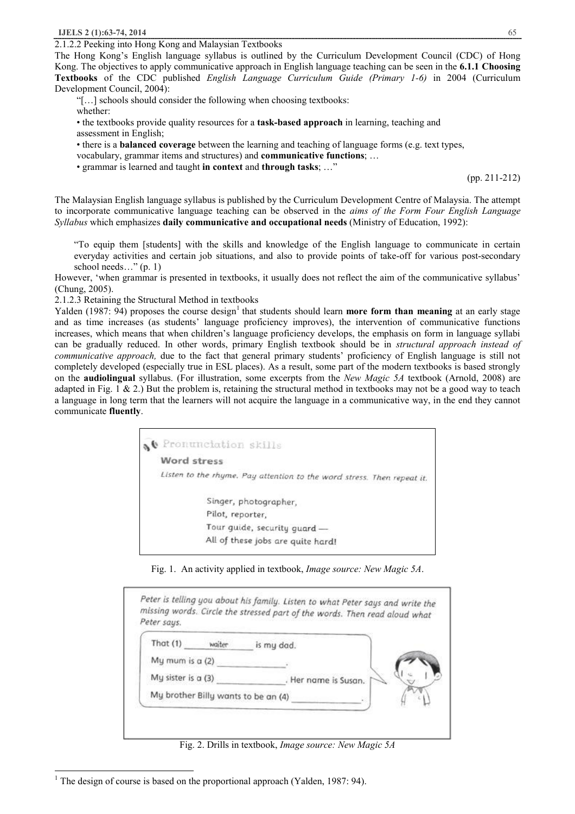$\overline{a}$ <sup>1</sup> The design of course is based on the proportional approach (Yalden, 1987: 94).

2.1.2.2 Peeking into Hong Kong and Malaysian Textbooks

The Hong Kong's English language syllabus is outlined by the Curriculum Development Council (CDC) of Hong Kong. The objectives to apply communicative approach in English language teaching can be seen in the **6.1.1 Choosing Textbooks** of the CDC published *English Language Curriculum Guide (Primary 1-6)* in 2004 (Curriculum Development Council, 2004):

"[…] schools should consider the following when choosing textbooks:

whether:

• the textbooks provide quality resources for a **task-based approach** in learning, teaching and assessment in English;

• there is a **balanced coverage** between the learning and teaching of language forms (e.g. text types,

vocabulary, grammar items and structures) and **communicative functions**; …

• grammar is learned and taught **in context** and **through tasks**; …"

(pp. 211-212)

The Malaysian English language syllabus is published by the Curriculum Development Centre of Malaysia. The attempt to incorporate communicative language teaching can be observed in the *aims of the Form Four English Language Syllabus* which emphasizes **daily communicative and occupational needs** (Ministry of Education, 1992):

"To equip them [students] with the skills and knowledge of the English language to communicate in certain everyday activities and certain job situations, and also to provide points of take-off for various post-secondary school needs…" (p. 1)

However, 'when grammar is presented in textbooks, it usually does not reflect the aim of the communicative syllabus' (Chung, 2005).

2.1.2.3 Retaining the Structural Method in textbooks

Yalden (1987: 94) proposes the course design<sup>1</sup> that students should learn **more form than meaning** at an early stage and as time increases (as students' language proficiency improves), the intervention of communicative functions increases, which means that when children's language proficiency develops, the emphasis on form in language syllabi can be gradually reduced. In other words, primary English textbook should be in *structural approach instead of communicative approach,* due to the fact that general primary students' proficiency of English language is still not completely developed (especially true in ESL places). As a result, some part of the modern textbooks is based strongly on the **audiolingual** syllabus. (For illustration, some excerpts from the *New Magic 5A* textbook (Arnold, 2008) are adapted in Fig. 1 & 2.) But the problem is, retaining the structural method in textbooks may not be a good way to teach a language in long term that the learners will not acquire the language in a communicative way, in the end they cannot communicate **fluently**.

| Ne Pronunciation skills                                                |
|------------------------------------------------------------------------|
| Word stress                                                            |
| Listen to the rhyme. Pay attention to the word stress. Then repeat it. |
| Singer, photographer,                                                  |
| Pilot, reporter.                                                       |
| Tour guide, security guard -                                           |
| All of these jobs are quite hard!                                      |

Fig. 1. An activity applied in textbook, *Image source: New Magic 5A*.

| That $(1)$         | waiter | is my dad.                          |
|--------------------|--------|-------------------------------------|
| My mum is a (2)    |        |                                     |
| My sister is a (3) |        | Her name is Susan.                  |
|                    |        | My brother Billy wants to be an (4) |

Fig. 2. Drills in textbook, *Image source: New Magic 5A*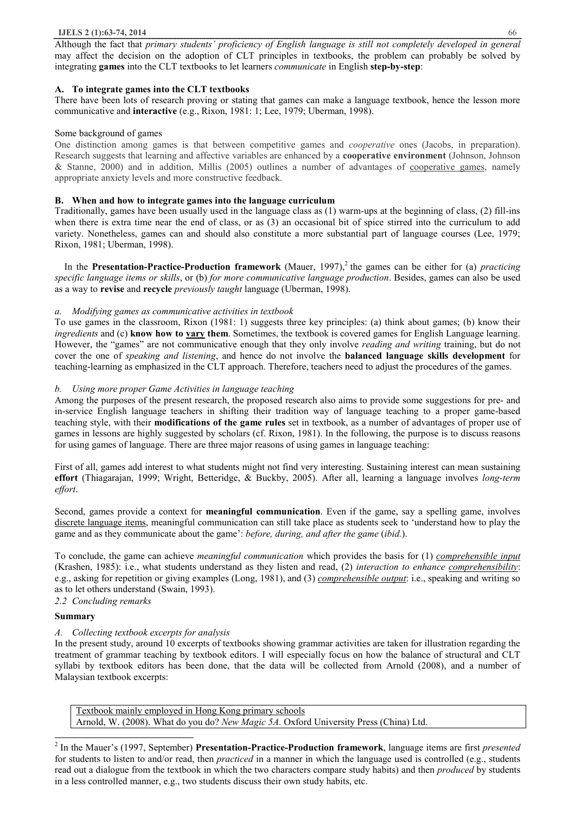Although the fact that *primary students' proficiency of English language is still not completely developed in general* may affect the decision on the adoption of CLT principles in textbooks, the problem can probably be solved by integrating **games** into the CLT textbooks to let learners *communicate* in English **step-by-step**:

# **A. To integrate games into the CLT textbooks**

There have been lots of research proving or stating that games can make a language textbook, hence the lesson more communicative and **interactive** (e.g., Rixon, 1981: 1; Lee, 1979; Uberman, 1998).

## Some background of games

One distinction among games is that between competitive games and *cooperative* ones (Jacobs, in preparation). Research suggests that learning and affective variables are enhanced by a **cooperative environment** (Johnson, Johnson & Stanne, 2000) and in addition, Millis (2005) outlines a number of advantages of cooperative games, namely appropriate anxiety levels and more constructive feedback.

## **B. When and how to integrate games into the language curriculum**

Traditionally, games have been usually used in the language class as (1) warm-ups at the beginning of class, (2) fill-ins when there is extra time near the end of class, or as (3) an occasional bit of spice stirred into the curriculum to add variety. Nonetheless, games can and should also constitute a more substantial part of language courses (Lee, 1979; Rixon, 1981; Uberman, 1998).

In the **Presentation-Practice-Production framework** (Mauer, 1997),<sup>2</sup> the games can be either for (a) *practicing specific language items or skills*, or (b) *for more communicative language production*. Besides, games can also be used as a way to **revise** and **recycle** *previously taught* language (Uberman, 1998).

# *a. Modifying games as communicative activities in textbook*

To use games in the classroom, Rixon (1981: 1) suggests three key principles: (a) think about games; (b) know their *ingredients* and (c) **know how to vary them**. Sometimes, the textbook is covered games for English Language learning. However, the "games" are not communicative enough that they only involve *reading and writing* training, but do not cover the one of *speaking and listening*, and hence do not involve the **balanced language skills development** for teaching-learning as emphasized in the CLT approach. Therefore, teachers need to adjust the procedures of the games.

## *b. Using more proper Game Activities in language teaching*

Among the purposes of the present research, the proposed research also aims to provide some suggestions for pre- and in-service English language teachers in shifting their tradition way of language teaching to a proper game-based teaching style, with their **modifications of the game rules** set in textbook, as a number of advantages of proper use of games in lessons are highly suggested by scholars (cf. Rixon, 1981). In the following, the purpose is to discuss reasons for using games of language. There are three major reasons of using games in language teaching:

First of all, games add interest to what students might not find very interesting. Sustaining interest can mean sustaining **effort** (Thiagarajan, 1999; Wright, Betteridge, & Buckby, 2005). After all, learning a language involves *long-term effort*.

Second, games provide a context for **meaningful communication**. Even if the game, say a spelling game, involves discrete language items, meaningful communication can still take place as students seek to 'understand how to play the game and as they communicate about the game': *before, during, and after the game* (*ibid.*).

To conclude, the game can achieve *meaningful communication* which provides the basis for (1) *comprehensible input* (Krashen, 1985): i.e., what students understand as they listen and read, (2) *interaction to enhance comprehensibility*: e.g., asking for repetition or giving examples (Long, 1981), and (3) *comprehensible output*: i.e., speaking and writing so as to let others understand (Swain, 1993).

# *2.2 Concluding remarks*

# **Summary**

 $\overline{a}$ 

# *A. Collecting textbook excerpts for analysis*

In the present study, around 10 excerpts of textbooks showing grammar activities are taken for illustration regarding the treatment of grammar teaching by textbook editors. I will especially focus on how the balance of structural and CLT syllabi by textbook editors has been done, that the data will be collected from Arnold (2008), and a number of Malaysian textbook excerpts:

Textbook mainly employed in Hong Kong primary schools Arnold, W. (2008). What do you do? *New Magic 5A.* Oxford University Press (China) Ltd.

2 In the Mauer's (1997, September) **Presentation-Practice-Production framework**, language items are first *presented* for students to listen to and/or read, then *practiced* in a manner in which the language used is controlled (e.g., students read out a dialogue from the textbook in which the two characters compare study habits) and then *produced* by students in a less controlled manner, e.g., two students discuss their own study habits, etc.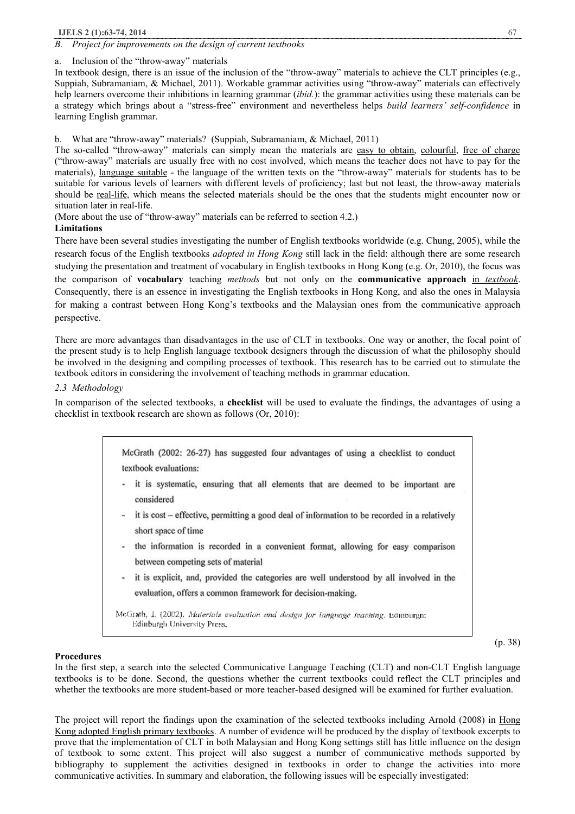## **IJELS 2 (1):63-74, 2014** 67

#### *B. Project for improvements on the design of current textbooks*

a. Inclusion of the "throw-away" materials

In textbook design, there is an issue of the inclusion of the "throw-away" materials to achieve the CLT principles (e.g., Suppiah, Subramaniam, & Michael, 2011). Workable grammar activities using "throw-away" materials can effectively help learners overcome their inhibitions in learning grammar (*ibid.*): the grammar activities using these materials can be a strategy which brings about a "stress-free" environment and nevertheless helps *build learners' self-confidence* in learning English grammar.

b. What are "throw-away" materials? (Suppiah, Subramaniam, & Michael, 2011)

The so-called "throw-away" materials can simply mean the materials are easy to obtain, colourful, free of charge ("throw-away" materials are usually free with no cost involved, which means the teacher does not have to pay for the materials), language suitable - the language of the written texts on the "throw-away" materials for students has to be suitable for various levels of learners with different levels of proficiency; last but not least, the throw-away materials should be real-life, which means the selected materials should be the ones that the students might encounter now or situation later in real-life.

(More about the use of "throw-away" materials can be referred to section 4.2.)

## **Limitations**

There have been several studies investigating the number of English textbooks worldwide (e.g. Chung, 2005), while the research focus of the English textbooks *adopted in Hong Kong* still lack in the field: although there are some research studying the presentation and treatment of vocabulary in English textbooks in Hong Kong (e.g. Or, 2010), the focus was the comparison of **vocabulary** teaching *methods* but not only on the **communicative approach** in *textbook*. Consequently, there is an essence in investigating the English textbooks in Hong Kong, and also the ones in Malaysia for making a contrast between Hong Kong's textbooks and the Malaysian ones from the communicative approach perspective.

There are more advantages than disadvantages in the use of CLT in textbooks. One way or another, the focal point of the present study is to help English language textbook designers through the discussion of what the philosophy should be involved in the designing and compiling processes of textbook. This research has to be carried out to stimulate the textbook editors in considering the involvement of teaching methods in grammar education.

## *2.3 Methodology*

considered

In comparison of the selected textbooks, a **checklist** will be used to evaluate the findings, the advantages of using a checklist in textbook research are shown as follows (Or, 2010):

> McGrath (2002: 26-27) has suggested four advantages of using a checklist to conduct textbook evaluations: it is systematic, ensuring that all elements that are deemed to be important are

- it is cost effective, permitting a good deal of information to be recorded in a relatively short space of time
- the information is recorded in a convenient format, allowing for easy comparison between competing sets of material
- it is explicit, and, provided the categories are well understood by all involved in the evaluation, offers a common framework for decision-making.

McGrath, I. (2002). Materials evaluation and design for language teaching. Equodurgo: Edinburgh University Press,

(p. 38)

#### **Procedures**

In the first step, a search into the selected Communicative Language Teaching (CLT) and non-CLT English language textbooks is to be done. Second, the questions whether the current textbooks could reflect the CLT principles and whether the textbooks are more student-based or more teacher-based designed will be examined for further evaluation.

The project will report the findings upon the examination of the selected textbooks including Arnold (2008) in Hong Kong adopted English primary textbooks. A number of evidence will be produced by the display of textbook excerpts to prove that the implementation of CLT in both Malaysian and Hong Kong settings still has little influence on the design of textbook to some extent. This project will also suggest a number of communicative methods supported by bibliography to supplement the activities designed in textbooks in order to change the activities into more communicative activities. In summary and elaboration, the following issues will be especially investigated: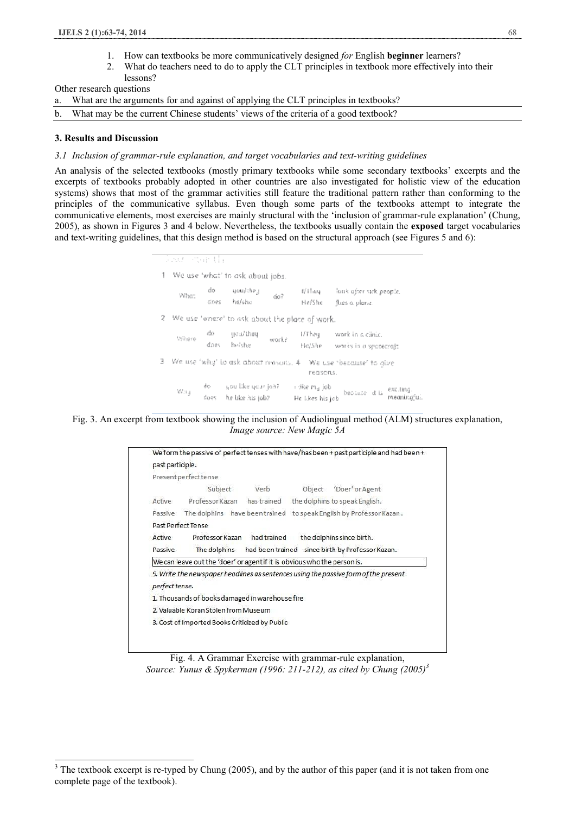- 1. How can textbooks be more communicatively designed *for* English **beginner** learners?
- 2. What do teachers need to do to apply the CLT principles in textbook more effectively into their lessons?

Other research questions

- a. What are the arguments for and against of applying the CLT principles in textbooks?
- b. What may be the current Chinese students' views of the criteria of a good textbook?

#### **3. Results and Discussion**

l

# *3.1 Inclusion of grammar-rule explanation, and target vocabularies and text-writing guidelines*

An analysis of the selected textbooks (mostly primary textbooks while some secondary textbooks' excerpts and the excerpts of textbooks probably adopted in other countries are also investigated for holistic view of the education systems) shows that most of the grammar activities still feature the traditional pattern rather than conforming to the principles of the communicative syllabus. Even though some parts of the textbooks attempt to integrate the communicative elements, most exercises are mainly structural with the 'inclusion of grammar-rule explanation' (Chung, 2005), as shown in Figures 3 and 4 below. Nevertheless, the textbooks usually contain the **exposed** target vocabularies and text-writing guidelines, that this design method is based on the structural approach (see Figures 5 and 6):

| Sour star th |                                                                                                                                                                                                                                                                                                                       |                |                                                                                                                                                                                                                                                                                                                                                                                                                                                                           |                                                                 |
|--------------|-----------------------------------------------------------------------------------------------------------------------------------------------------------------------------------------------------------------------------------------------------------------------------------------------------------------------|----------------|---------------------------------------------------------------------------------------------------------------------------------------------------------------------------------------------------------------------------------------------------------------------------------------------------------------------------------------------------------------------------------------------------------------------------------------------------------------------------|-----------------------------------------------------------------|
|              | 1 We use 'what' to ask about jobs.                                                                                                                                                                                                                                                                                    |                |                                                                                                                                                                                                                                                                                                                                                                                                                                                                           |                                                                 |
|              | $\mathbb{W} \mathfrak{h} \mathfrak{a} \mathfrak{z} = \begin{cases} \mathfrak{d} \mathfrak{o} & \quad \text{span} / \mathfrak{e} \mathfrak{h} \mathfrak{o} \mathfrak{z} \\ \mathfrak{d} \mathfrak{o} \mathfrak{e} \mathfrak{s} & \quad \mathfrak{h} \mathfrak{e} / \mathfrak{s} \mathfrak{h} \mathfrak{e} \end{cases}$ | $\dot{\alpha}$ |                                                                                                                                                                                                                                                                                                                                                                                                                                                                           | t/Hieu louk after sick people.<br>He/She flies a plane.         |
|              |                                                                                                                                                                                                                                                                                                                       |                | ? We use 'where' to ask about the place of work.                                                                                                                                                                                                                                                                                                                                                                                                                          |                                                                 |
|              | $\begin{tabular}{ll} \hline \textbf{W} \textbf{h} \textbf{e} \textbf{e} & \textbf{do} & \textbf{goal} \textbf{h} \textbf{e} \textbf{q} \\ & \textbf{do} \textbf{e} \textbf{s} & \textbf{h} \textbf{v} \textbf{h} \textbf{e} \textbf{e} & \textbf{w} \textbf{o} \textbf{r} \textbf{h} \textbf{f} \end{tabular}$        |                |                                                                                                                                                                                                                                                                                                                                                                                                                                                                           | I/They work in a clinic.<br>Fle/She works in a speceded;        |
|              |                                                                                                                                                                                                                                                                                                                       |                | reasons.                                                                                                                                                                                                                                                                                                                                                                                                                                                                  | 3 We use 'why' to ask about reasons. 4 We use 'because' to give |
|              |                                                                                                                                                                                                                                                                                                                       |                | $\begin{array}{cccc} \forall i. i. j & \text{d}c & \text{y} \text{ ou like } q \text{ or } r \text{ j} \text{ a} \text{ i} & \text{ i} \text{ (i)} \text{ se } r \text{ t}_d \text{ j} \text{ ob} \\ & \text{f} \text{ o} \text{ e} \text{ s} & \text{h} \text{ e} \text{ l} \text{ k} \text{ e} \text{ a} \text{ i} \text{ s} \text{ j} \text{ o} \text{ b} & \text{He } \text{l} \text{ k} \text{ e} \text{ s} \text{ h} \text{ s} \text{ j} \text{ o} \text{ b} \end{$ | because it is excling.<br>meaningful.                           |

Fig. 3. An excerpt from textbook showing the inclusion of Audiolingual method (ALM) structures explanation, *Image source: New Magic 5A*

| past participle.          |                                                                          |                                                |                                                            |                                                                                     |  |
|---------------------------|--------------------------------------------------------------------------|------------------------------------------------|------------------------------------------------------------|-------------------------------------------------------------------------------------|--|
|                           | Present perfect tense                                                    |                                                |                                                            |                                                                                     |  |
|                           | Subject                                                                  | Verb                                           | Object                                                     | 'Doer' or Agent                                                                     |  |
| Active                    |                                                                          |                                                | Professor Kazan has trained the dolphins to speak English. |                                                                                     |  |
| Passive                   | The dolphins have been trained to speak English by Professor Kazan.      |                                                |                                                            |                                                                                     |  |
|                           | Past Perfect Tense                                                       |                                                |                                                            |                                                                                     |  |
| Professor Kazan<br>Active |                                                                          |                                                | had trained<br>the dolphins since birth.                   |                                                                                     |  |
| Passive                   | The dolphins had been trained since birth by Professor Kazan.            |                                                |                                                            |                                                                                     |  |
|                           | We can leave out the 'doer' or agent if it is obvious who the person is. |                                                |                                                            |                                                                                     |  |
|                           |                                                                          |                                                |                                                            | 9. Write the newspaper headlines as sentences using the passive form of the present |  |
| perfect tense.            |                                                                          |                                                |                                                            |                                                                                     |  |
|                           | 1. Thousands of books damaged in warehouse fire                          |                                                |                                                            |                                                                                     |  |
|                           | 2. Valuable Koran Stolen from Museum                                     |                                                |                                                            |                                                                                     |  |
|                           |                                                                          | 3. Cost of Imported Books Criticized by Public |                                                            |                                                                                     |  |



<sup>&</sup>lt;sup>3</sup> The textbook excerpt is re-typed by Chung (2005), and by the author of this paper (and it is not taken from one complete page of the textbook).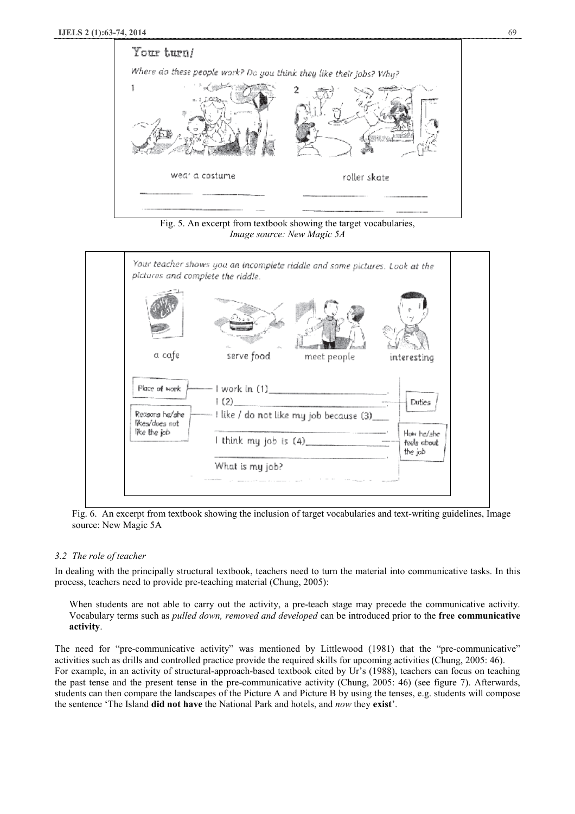

Fig. 5. An excerpt from textbook showing the target vocabularies, *Image source: New Magic 5A* 



Fig. 6. An excerpt from textbook showing the inclusion of target vocabularies and text-writing guidelines, Image source: New Magic 5A

# *3.2 The role of teacher*

In dealing with the principally structural textbook, teachers need to turn the material into communicative tasks. In this process, teachers need to provide pre-teaching material (Chung, 2005):

When students are not able to carry out the activity, a pre-teach stage may precede the communicative activity. Vocabulary terms such as *pulled down, removed and developed* can be introduced prior to the **free communicative activity**.

The need for "pre-communicative activity" was mentioned by Littlewood (1981) that the "pre-communicative" activities such as drills and controlled practice provide the required skills for upcoming activities (Chung, 2005: 46). For example, in an activity of structural-approach-based textbook cited by Ur's (1988), teachers can focus on teaching the past tense and the present tense in the pre-communicative activity (Chung, 2005: 46) (see figure 7). Afterwards, students can then compare the landscapes of the Picture A and Picture B by using the tenses, e.g. students will compose the sentence 'The Island **did not have** the National Park and hotels, and *now* they **exist**'.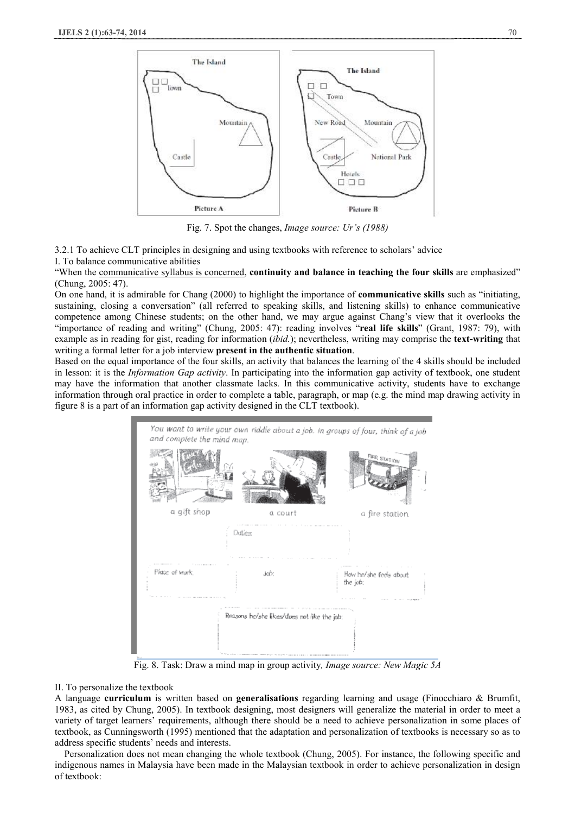

Fig. 7. Spot the changes, *Image source: Ur's (1988)* 

3.2.1 To achieve CLT principles in designing and using textbooks with reference to scholars' advice

I. To balance communicative abilities

"When the communicative syllabus is concerned, **continuity and balance in teaching the four skills** are emphasized" (Chung, 2005: 47).

On one hand, it is admirable for Chang (2000) to highlight the importance of **communicative skills** such as "initiating, sustaining, closing a conversation" (all referred to speaking skills, and listening skills) to enhance communicative competence among Chinese students; on the other hand, we may argue against Chang's view that it overlooks the "importance of reading and writing" (Chung, 2005: 47): reading involves "**real life skills**" (Grant, 1987: 79), with example as in reading for gist, reading for information (*ibid.*); nevertheless, writing may comprise the **text-writing** that writing a formal letter for a job interview **present in the authentic situation**.

Based on the equal importance of the four skills, an activity that balances the learning of the 4 skills should be included in lesson: it is the *Information Gap activity*. In participating into the information gap activity of textbook, one student may have the information that another classmate lacks. In this communicative activity, students have to exchange information through oral practice in order to complete a table, paragraph, or map (e.g. the mind map drawing activity in figure 8 is a part of an information gap activity designed in the CLT textbook).



Fig. 8. Task: Draw a mind map in group activity*, Image source: New Magic 5A* 

#### II. To personalize the textbook

A language **curriculum** is written based on **generalisations** regarding learning and usage (Finocchiaro & Brumfit, 1983, as cited by Chung, 2005). In textbook designing, most designers will generalize the material in order to meet a variety of target learners' requirements, although there should be a need to achieve personalization in some places of textbook, as Cunningsworth (1995) mentioned that the adaptation and personalization of textbooks is necessary so as to address specific students' needs and interests.

Personalization does not mean changing the whole textbook (Chung, 2005). For instance, the following specific and indigenous names in Malaysia have been made in the Malaysian textbook in order to achieve personalization in design of textbook: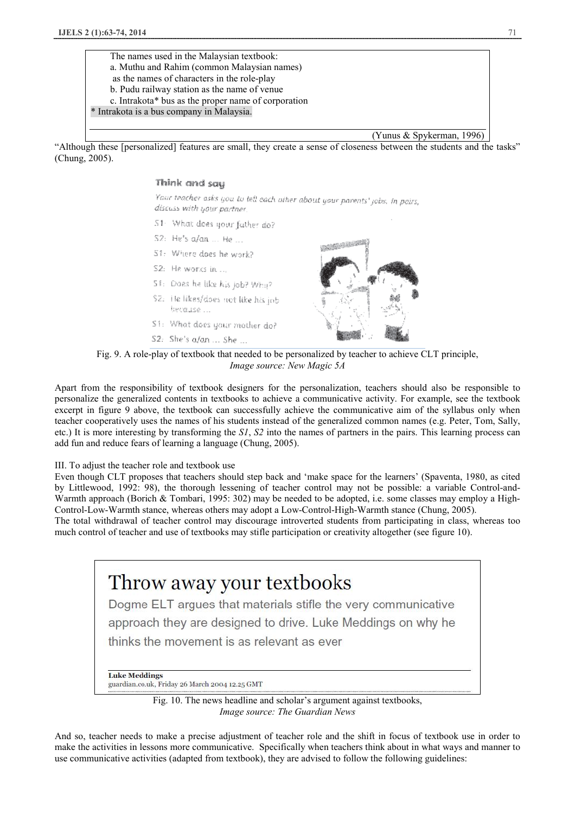The names used in the Malaysian textbook: a. Muthu and Rahim (common Malaysian names) as the names of characters in the role-play b. Pudu railway station as the name of venue c. Intrakota\* bus as the proper name of corporation \* Intrakota is a bus company in Malaysia.

(Yunus & Spykerman, 1996)

"Although these [personalized] features are small, they create a sense of closeness between the students and the tasks" (Chung, 2005).

#### Think and say

Your teacher asks you to tell each other about your parents' jobs, in pairs, discuss with your partner.

- 51 What does your father do?
- S2: He's a/an ... He ...
- S1: Where does he work?
- S2: He works in ...
- 51: Does he like his job? Whu? \$2: He likes/does not like his jnb because ...
- S1: What does your mother do?
- S2: She's a/an ... She ...



**TANK AT REAL** 

Fig. 9. A role-play of textbook that needed to be personalized by teacher to achieve CLT principle, *Image source: New Magic 5A* 

Apart from the responsibility of textbook designers for the personalization, teachers should also be responsible to personalize the generalized contents in textbooks to achieve a communicative activity. For example, see the textbook excerpt in figure 9 above, the textbook can successfully achieve the communicative aim of the syllabus only when teacher cooperatively uses the names of his students instead of the generalized common names (e.g. Peter, Tom, Sally, etc.) It is more interesting by transforming the *S1*, *S2* into the names of partners in the pairs. This learning process can add fun and reduce fears of learning a language (Chung, 2005).

#### III. To adjust the teacher role and textbook use

Even though CLT proposes that teachers should step back and 'make space for the learners' (Spaventa, 1980, as cited by Littlewood, 1992: 98), the thorough lessening of teacher control may not be possible: a variable Control-and-Warmth approach (Borich & Tombari, 1995: 302) may be needed to be adopted, i.e. some classes may employ a High-Control-Low-Warmth stance, whereas others may adopt a Low-Control-High-Warmth stance (Chung, 2005).

The total withdrawal of teacher control may discourage introverted students from participating in class, whereas too much control of teacher and use of textbooks may stifle participation or creativity altogether (see figure 10).



Fig. 10. The news headline and scholar's argument against textbooks, *Image source: The Guardian News* 

And so, teacher needs to make a precise adjustment of teacher role and the shift in focus of textbook use in order to make the activities in lessons more communicative. Specifically when teachers think about in what ways and manner to use communicative activities (adapted from textbook), they are advised to follow the following guidelines: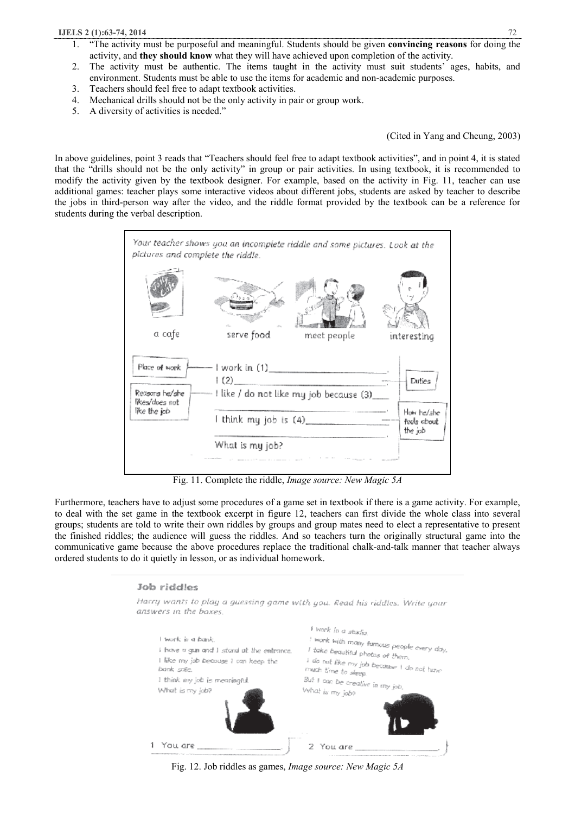- 1. "The activity must be purposeful and meaningful. Students should be given **convincing reasons** for doing the activity, and **they should know** what they will have achieved upon completion of the activity.
- 2. The activity must be authentic. The items taught in the activity must suit students' ages, habits, and environment. Students must be able to use the items for academic and non-academic purposes.
- 3. Teachers should feel free to adapt textbook activities.
- 4. Mechanical drills should not be the only activity in pair or group work.
- 5. A diversity of activities is needed."

(Cited in Yang and Cheung, 2003)

In above guidelines, point 3 reads that "Teachers should feel free to adapt textbook activities", and in point 4, it is stated that the "drills should not be the only activity" in group or pair activities. In using textbook, it is recommended to modify the activity given by the textbook designer. For example, based on the activity in Fig. 11, teacher can use additional games: teacher plays some interactive videos about different jobs, students are asked by teacher to describe the jobs in third-person way after the video, and the riddle format provided by the textbook can be a reference for students during the verbal description.



Fig. 11. Complete the riddle, *Image source: New Magic 5A* 

Furthermore, teachers have to adjust some procedures of a game set in textbook if there is a game activity. For example, to deal with the set game in the textbook excerpt in figure 12, teachers can first divide the whole class into several groups; students are told to write their own riddles by groups and group mates need to elect a representative to present the finished riddles; the audience will guess the riddles. And so teachers turn the originally structural game into the communicative game because the above procedures replace the traditional chalk-and-talk manner that teacher always ordered students to do it quietly in lesson, or as individual homework.

## Job riddles



Fig. 12. Job riddles as games, *Image source: New Magic 5A*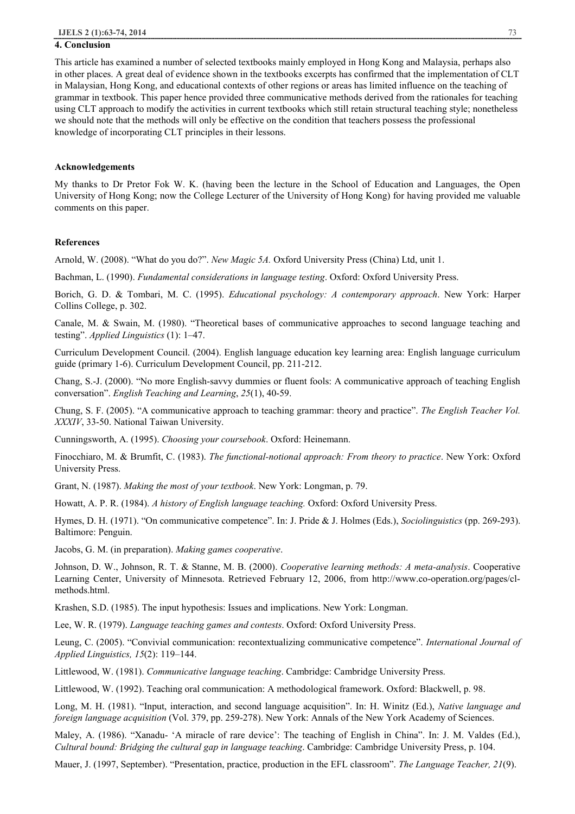#### **4. Conclusion**

This article has examined a number of selected textbooks mainly employed in Hong Kong and Malaysia, perhaps also in other places. A great deal of evidence shown in the textbooks excerpts has confirmed that the implementation of CLT in Malaysian, Hong Kong, and educational contexts of other regions or areas has limited influence on the teaching of grammar in textbook. This paper hence provided three communicative methods derived from the rationales for teaching using CLT approach to modify the activities in current textbooks which still retain structural teaching style; nonetheless we should note that the methods will only be effective on the condition that teachers possess the professional knowledge of incorporating CLT principles in their lessons.

#### **Acknowledgements**

My thanks to Dr Pretor Fok W. K. (having been the lecture in the School of Education and Languages, the Open University of Hong Kong; now the College Lecturer of the University of Hong Kong) for having provided me valuable comments on this paper.

#### **References**

Arnold, W. (2008). "What do you do?". *New Magic 5A.* Oxford University Press (China) Ltd, unit 1.

Bachman, L. (1990). *Fundamental considerations in language testing*. Oxford: Oxford University Press.

Borich, G. D. & Tombari, M. C. (1995). *Educational psychology: A contemporary approach*. New York: Harper Collins College, p. 302.

Canale, M. & Swain, M. (1980). "Theoretical bases of communicative approaches to second language teaching and testing". *Applied Linguistics* (1): 1–47.

Curriculum Development Council. (2004). English language education key learning area: English language curriculum guide (primary 1-6). Curriculum Development Council, pp. 211-212.

Chang, S.-J. (2000). "No more English-savvy dummies or fluent fools: A communicative approach of teaching English conversation". *English Teaching and Learning*, *25*(1), 40-59.

Chung, S. F. (2005). "A communicative approach to teaching grammar: theory and practice". *The English Teacher Vol. XXXIV*, 33-50. National Taiwan University.

Cunningsworth, A. (1995). *Choosing your coursebook*. Oxford: Heinemann.

Finocchiaro, M. & Brumfit, C. (1983). *The functional-notional approach: From theory to practice*. New York: Oxford University Press.

Grant, N. (1987). *Making the most of your textbook*. New York: Longman, p. 79.

Howatt, A. P. R. (1984). *A history of English language teaching.* Oxford: Oxford University Press.

Hymes, D. H. (1971). "On communicative competence". In: J. Pride & J. Holmes (Eds.), *Sociolinguistics* (pp. 269-293). Baltimore: Penguin.

Jacobs, G. M. (in preparation). *Making games cooperative*.

Johnson, D. W., Johnson, R. T. & Stanne, M. B. (2000). *Cooperative learning methods: A meta-analysis*. Cooperative Learning Center, University of Minnesota. Retrieved February 12, 2006, from http://www.co-operation.org/pages/clmethods.html.

Krashen, S.D. (1985). The input hypothesis: Issues and implications. New York: Longman.

Lee, W. R. (1979). *Language teaching games and contests*. Oxford: Oxford University Press.

Leung, C. (2005). "Convivial communication: recontextualizing communicative competence". *International Journal of Applied Linguistics, 15*(2): 119–144.

Littlewood, W. (1981). *Communicative language teaching*. Cambridge: Cambridge University Press.

Littlewood, W. (1992). Teaching oral communication: A methodological framework. Oxford: Blackwell, p. 98.

Long, M. H. (1981). "Input, interaction, and second language acquisition". In: H. Winitz (Ed.), *Native language and foreign language acquisition* (Vol. 379, pp. 259-278). New York: Annals of the New York Academy of Sciences.

Maley, A. (1986). "Xanadu- 'A miracle of rare device': The teaching of English in China". In: J. M. Valdes (Ed.), *Cultural bound: Bridging the cultural gap in language teaching*. Cambridge: Cambridge University Press, p. 104.

Mauer, J. (1997, September). "Presentation, practice, production in the EFL classroom". *The Language Teacher, 21*(9).